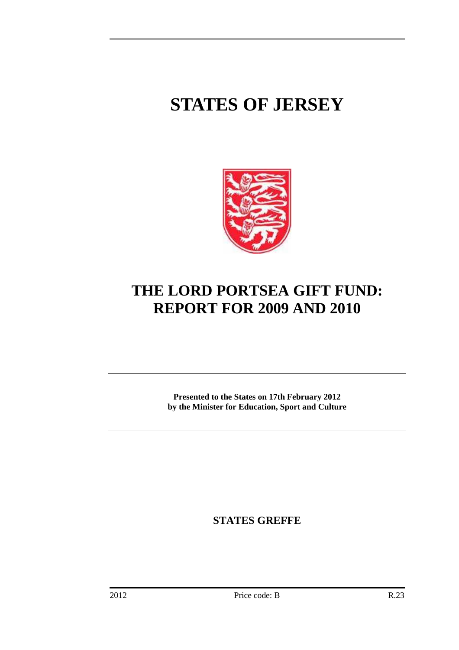# **STATES OF JERSEY**



## **THE LORD PORTSEA GIFT FUND: REPORT FOR 2009 AND 2010**

**Presented to the States on 17th February 2012 by the Minister for Education, Sport and Culture** 

**STATES GREFFE**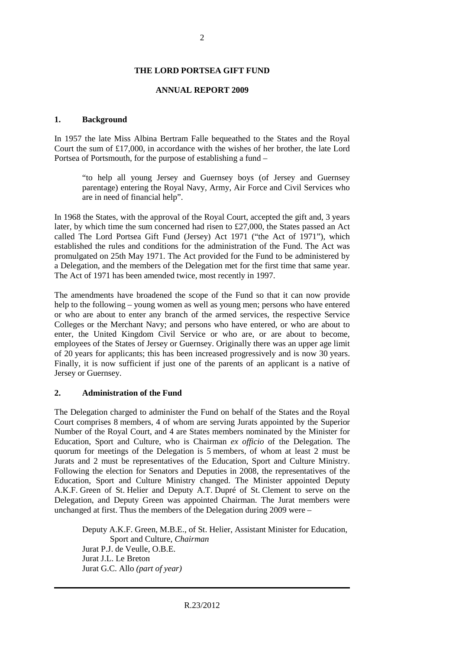#### **ANNUAL REPORT 2009**

#### **1. Background**

In 1957 the late Miss Albina Bertram Falle bequeathed to the States and the Royal Court the sum of £17,000, in accordance with the wishes of her brother, the late Lord Portsea of Portsmouth, for the purpose of establishing a fund –

"to help all young Jersey and Guernsey boys (of Jersey and Guernsey parentage) entering the Royal Navy, Army, Air Force and Civil Services who are in need of financial help".

In 1968 the States, with the approval of the Royal Court, accepted the gift and, 3 years later, by which time the sum concerned had risen to £27,000, the States passed an Act called The Lord Portsea Gift Fund (Jersey) Act 1971 ("the Act of 1971"), which established the rules and conditions for the administration of the Fund. The Act was promulgated on 25th May 1971. The Act provided for the Fund to be administered by a Delegation, and the members of the Delegation met for the first time that same year. The Act of 1971 has been amended twice, most recently in 1997.

The amendments have broadened the scope of the Fund so that it can now provide help to the following – young women as well as young men; persons who have entered or who are about to enter any branch of the armed services, the respective Service Colleges or the Merchant Navy; and persons who have entered, or who are about to enter, the United Kingdom Civil Service or who are, or are about to become, employees of the States of Jersey or Guernsey. Originally there was an upper age limit of 20 years for applicants; this has been increased progressively and is now 30 years. Finally, it is now sufficient if just one of the parents of an applicant is a native of Jersey or Guernsey.

#### **2. Administration of the Fund**

The Delegation charged to administer the Fund on behalf of the States and the Royal Court comprises 8 members, 4 of whom are serving Jurats appointed by the Superior Number of the Royal Court, and 4 are States members nominated by the Minister for Education, Sport and Culture, who is Chairman *ex officio* of the Delegation. The quorum for meetings of the Delegation is 5 members, of whom at least 2 must be Jurats and 2 must be representatives of the Education, Sport and Culture Ministry. Following the election for Senators and Deputies in 2008, the representatives of the Education, Sport and Culture Ministry changed. The Minister appointed Deputy A.K.F. Green of St. Helier and Deputy A.T. Dupré of St. Clement to serve on the Delegation, and Deputy Green was appointed Chairman. The Jurat members were unchanged at first. Thus the members of the Delegation during 2009 were –

Deputy A.K.F. Green, M.B.E., of St. Helier, Assistant Minister for Education, Sport and Culture, *Chairman* Jurat P.J. de Veulle, O.B.E. Jurat J.L. Le Breton Jurat G.C. Allo *(part of year)*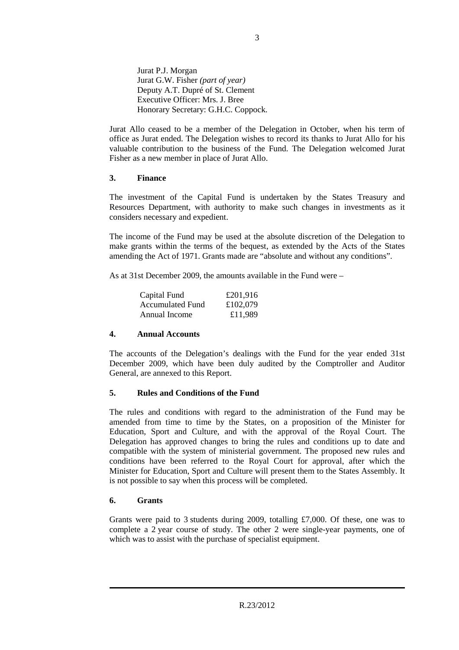Jurat P.J. Morgan Jurat G.W. Fisher *(part of year)* Deputy A.T. Dupré of St. Clement Executive Officer: Mrs. J. Bree Honorary Secretary: G.H.C. Coppock.

Jurat Allo ceased to be a member of the Delegation in October, when his term of office as Jurat ended. The Delegation wishes to record its thanks to Jurat Allo for his valuable contribution to the business of the Fund. The Delegation welcomed Jurat Fisher as a new member in place of Jurat Allo.

## **3. Finance**

The investment of the Capital Fund is undertaken by the States Treasury and Resources Department, with authority to make such changes in investments as it considers necessary and expedient.

The income of the Fund may be used at the absolute discretion of the Delegation to make grants within the terms of the bequest, as extended by the Acts of the States amending the Act of 1971. Grants made are "absolute and without any conditions".

As at 31st December 2009, the amounts available in the Fund were –

| Capital Fund            | £201,916 |
|-------------------------|----------|
| <b>Accumulated Fund</b> | £102,079 |
| Annual Income           | £11,989  |

## **4. Annual Accounts**

The accounts of the Delegation's dealings with the Fund for the year ended 31st December 2009, which have been duly audited by the Comptroller and Auditor General, are annexed to this Report.

## **5. Rules and Conditions of the Fund**

The rules and conditions with regard to the administration of the Fund may be amended from time to time by the States, on a proposition of the Minister for Education, Sport and Culture, and with the approval of the Royal Court. The Delegation has approved changes to bring the rules and conditions up to date and compatible with the system of ministerial government. The proposed new rules and conditions have been referred to the Royal Court for approval, after which the Minister for Education, Sport and Culture will present them to the States Assembly. It is not possible to say when this process will be completed.

## **6. Grants**

Grants were paid to 3 students during 2009, totalling £7,000. Of these, one was to complete a 2 year course of study. The other 2 were single-year payments, one of which was to assist with the purchase of specialist equipment.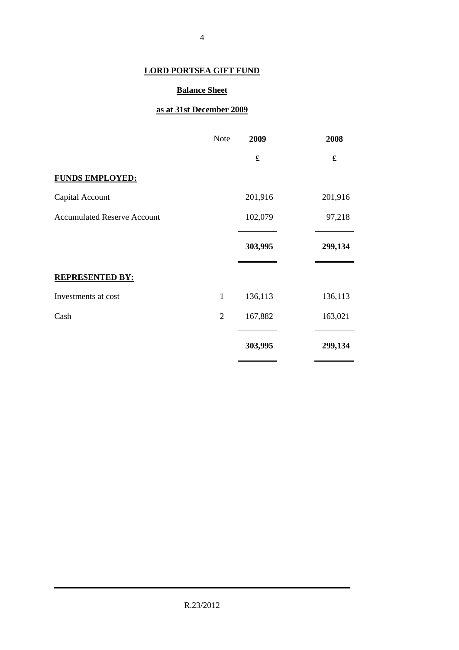## **Balance Sheet**

## **as at 31st December 2009**

|                                    | <b>Note</b>    | 2009    | 2008    |
|------------------------------------|----------------|---------|---------|
|                                    |                | £       | £       |
| <b>FUNDS EMPLOYED:</b>             |                |         |         |
| Capital Account                    |                | 201,916 | 201,916 |
| <b>Accumulated Reserve Account</b> |                | 102,079 | 97,218  |
|                                    |                | 303,995 | 299,134 |
| <b>REPRESENTED BY:</b>             |                |         |         |
| Investments at cost                | $\mathbf{1}$   | 136,113 | 136,113 |
| Cash                               | $\overline{2}$ | 167,882 | 163,021 |
|                                    |                | 303,995 | 299,134 |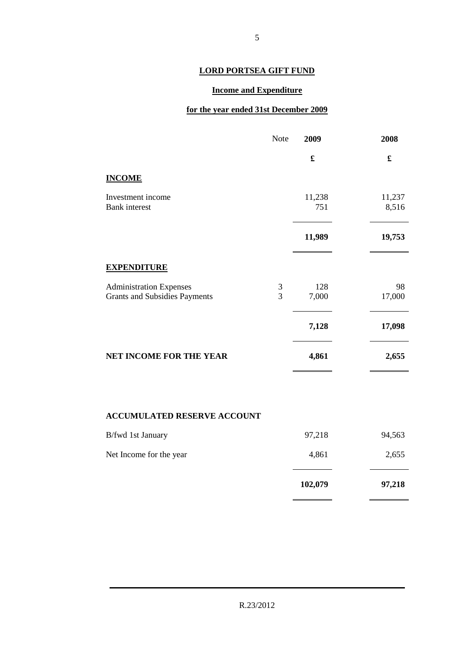## **Income and Expenditure**

## **for the year ended 31st December 2009**

|                                                                        | Note                | 2009          | 2008            |
|------------------------------------------------------------------------|---------------------|---------------|-----------------|
|                                                                        |                     | £             | £               |
| <b>INCOME</b>                                                          |                     |               |                 |
| Investment income<br><b>Bank</b> interest                              |                     | 11,238<br>751 | 11,237<br>8,516 |
|                                                                        |                     | 11,989        | 19,753          |
| <b>EXPENDITURE</b>                                                     |                     |               |                 |
| <b>Administration Expenses</b><br><b>Grants and Subsidies Payments</b> | 3<br>$\overline{3}$ | 128<br>7,000  | 98<br>17,000    |
|                                                                        |                     | 7,128         | 17,098          |
| NET INCOME FOR THE YEAR                                                |                     | 4,861         | 2,655           |
|                                                                        |                     |               |                 |
| <b>ACCUMULATED RESERVE ACCOUNT</b>                                     |                     |               |                 |
| B/fwd 1st January                                                      |                     | 97,218        | 94,563          |

|                         | 102,079 | 97,218 |
|-------------------------|---------|--------|
| Net Income for the year | 4,861   | 2,655  |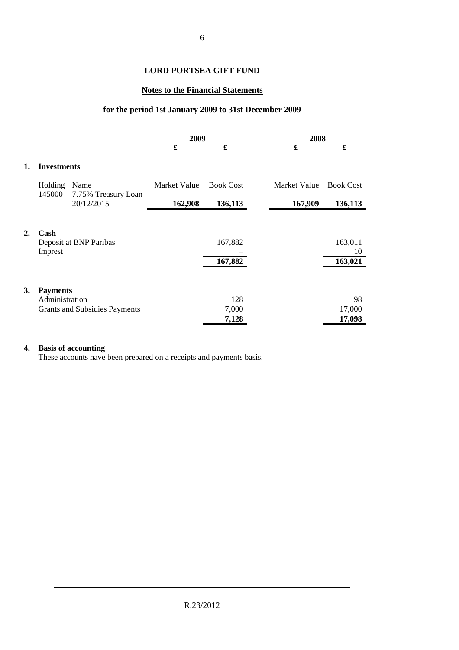## **Notes to the Financial Statements**

## **for the period 1st January 2009 to 31st December 2009**

|           |                          |                                      |              | 2009                 |  | 2008         |                      |  |
|-----------|--------------------------|--------------------------------------|--------------|----------------------|--|--------------|----------------------|--|
|           |                          |                                      | £            | $\pmb{\mathfrak{L}}$ |  | £            | $\pmb{\mathfrak{L}}$ |  |
| 1.        | <b>Investments</b>       |                                      |              |                      |  |              |                      |  |
|           | <b>Holding</b><br>145000 | Name<br>7.75% Treasury Loan          | Market Value | <b>Book Cost</b>     |  | Market Value | <b>Book Cost</b>     |  |
|           |                          | 20/12/2015                           | 162,908      | 136,113              |  | 167,909      | 136,113              |  |
|           |                          |                                      |              |                      |  |              |                      |  |
| 2.        | Cash                     | Deposit at BNP Paribas               |              | 167,882              |  |              | 163,011              |  |
|           | Imprest                  |                                      |              |                      |  |              | 10                   |  |
|           |                          |                                      |              | 167,882              |  |              | 163,021              |  |
|           |                          |                                      |              |                      |  |              |                      |  |
| <b>3.</b> | <b>Payments</b>          |                                      |              |                      |  |              |                      |  |
|           | Administration           |                                      |              | 128                  |  |              | 98                   |  |
|           |                          | <b>Grants and Subsidies Payments</b> |              | 7,000                |  |              | 17,000               |  |
|           |                          |                                      |              | 7,128                |  |              | 17,098               |  |

## **4. Basis of accounting**

These accounts have been prepared on a receipts and payments basis.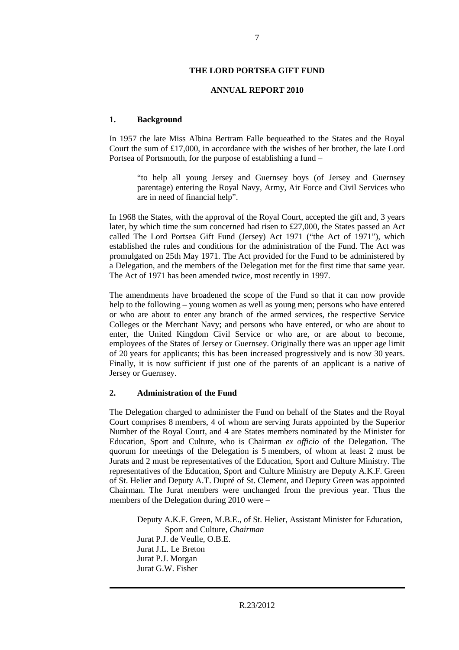#### **ANNUAL REPORT 2010**

#### **1. Background**

In 1957 the late Miss Albina Bertram Falle bequeathed to the States and the Royal Court the sum of £17,000, in accordance with the wishes of her brother, the late Lord Portsea of Portsmouth, for the purpose of establishing a fund –

"to help all young Jersey and Guernsey boys (of Jersey and Guernsey parentage) entering the Royal Navy, Army, Air Force and Civil Services who are in need of financial help".

In 1968 the States, with the approval of the Royal Court, accepted the gift and, 3 years later, by which time the sum concerned had risen to £27,000, the States passed an Act called The Lord Portsea Gift Fund (Jersey) Act 1971 ("the Act of 1971"), which established the rules and conditions for the administration of the Fund. The Act was promulgated on 25th May 1971. The Act provided for the Fund to be administered by a Delegation, and the members of the Delegation met for the first time that same year. The Act of 1971 has been amended twice, most recently in 1997.

The amendments have broadened the scope of the Fund so that it can now provide help to the following – young women as well as young men; persons who have entered or who are about to enter any branch of the armed services, the respective Service Colleges or the Merchant Navy; and persons who have entered, or who are about to enter, the United Kingdom Civil Service or who are, or are about to become, employees of the States of Jersey or Guernsey. Originally there was an upper age limit of 20 years for applicants; this has been increased progressively and is now 30 years. Finally, it is now sufficient if just one of the parents of an applicant is a native of Jersey or Guernsey.

#### **2. Administration of the Fund**

The Delegation charged to administer the Fund on behalf of the States and the Royal Court comprises 8 members, 4 of whom are serving Jurats appointed by the Superior Number of the Royal Court, and 4 are States members nominated by the Minister for Education, Sport and Culture, who is Chairman *ex officio* of the Delegation. The quorum for meetings of the Delegation is 5 members, of whom at least 2 must be Jurats and 2 must be representatives of the Education, Sport and Culture Ministry. The representatives of the Education, Sport and Culture Ministry are Deputy A.K.F. Green of St. Helier and Deputy A.T. Dupré of St. Clement, and Deputy Green was appointed Chairman. The Jurat members were unchanged from the previous year. Thus the members of the Delegation during 2010 were –

Deputy A.K.F. Green, M.B.E., of St. Helier, Assistant Minister for Education, Sport and Culture, *Chairman* Jurat P.J. de Veulle, O.B.E. Jurat J.L. Le Breton Jurat P.J. Morgan Jurat G.W. Fisher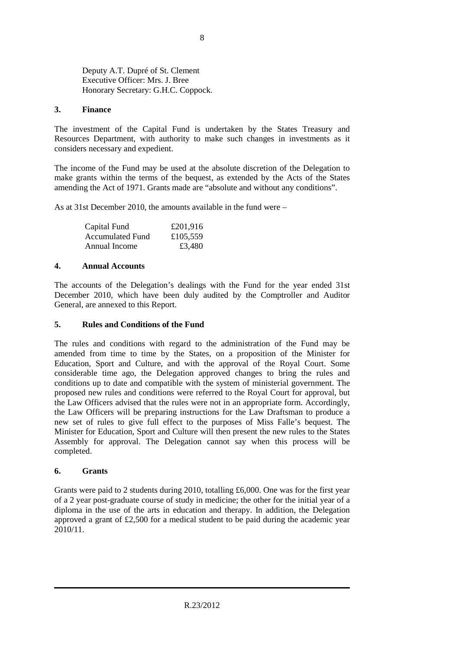Deputy A.T. Dupré of St. Clement Executive Officer: Mrs. J. Bree Honorary Secretary: G.H.C. Coppock.

## **3. Finance**

The investment of the Capital Fund is undertaken by the States Treasury and Resources Department, with authority to make such changes in investments as it considers necessary and expedient.

The income of the Fund may be used at the absolute discretion of the Delegation to make grants within the terms of the bequest, as extended by the Acts of the States amending the Act of 1971. Grants made are "absolute and without any conditions".

As at 31st December 2010, the amounts available in the fund were –

| Capital Fund            | £201,916 |
|-------------------------|----------|
| <b>Accumulated Fund</b> | £105,559 |
| Annual Income           | £3,480   |

## **4. Annual Accounts**

The accounts of the Delegation's dealings with the Fund for the year ended 31st December 2010, which have been duly audited by the Comptroller and Auditor General, are annexed to this Report.

## **5. Rules and Conditions of the Fund**

The rules and conditions with regard to the administration of the Fund may be amended from time to time by the States, on a proposition of the Minister for Education, Sport and Culture, and with the approval of the Royal Court. Some considerable time ago, the Delegation approved changes to bring the rules and conditions up to date and compatible with the system of ministerial government. The proposed new rules and conditions were referred to the Royal Court for approval, but the Law Officers advised that the rules were not in an appropriate form. Accordingly, the Law Officers will be preparing instructions for the Law Draftsman to produce a new set of rules to give full effect to the purposes of Miss Falle's bequest. The Minister for Education, Sport and Culture will then present the new rules to the States Assembly for approval. The Delegation cannot say when this process will be completed.

## **6. Grants**

Grants were paid to 2 students during 2010, totalling £6,000. One was for the first year of a 2 year post-graduate course of study in medicine; the other for the initial year of a diploma in the use of the arts in education and therapy. In addition, the Delegation approved a grant of £2,500 for a medical student to be paid during the academic year 2010/11.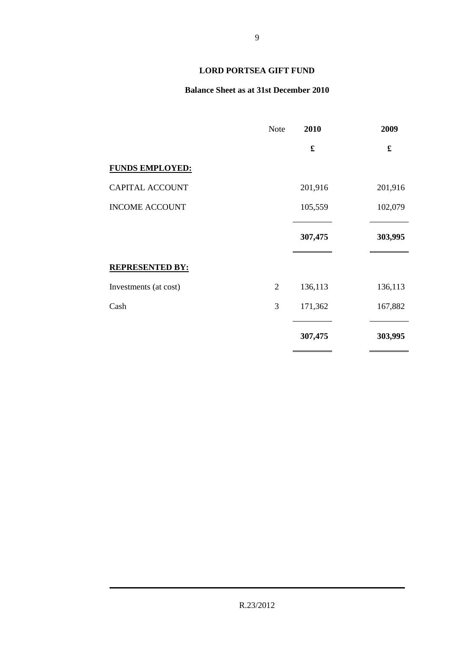## **Balance Sheet as at 31st December 2010**

|                        | <b>Note</b>    | 2010    | 2009                 |
|------------------------|----------------|---------|----------------------|
|                        |                | £       | $\pmb{\mathfrak{L}}$ |
| <b>FUNDS EMPLOYED:</b> |                |         |                      |
| CAPITAL ACCOUNT        |                | 201,916 | 201,916              |
| <b>INCOME ACCOUNT</b>  |                | 105,559 | 102,079              |
|                        |                | 307,475 | 303,995              |
| <b>REPRESENTED BY:</b> |                |         |                      |
| Investments (at cost)  | $\overline{2}$ | 136,113 | 136,113              |
| Cash                   | 3              | 171,362 | 167,882              |
|                        |                | 307,475 | 303,995              |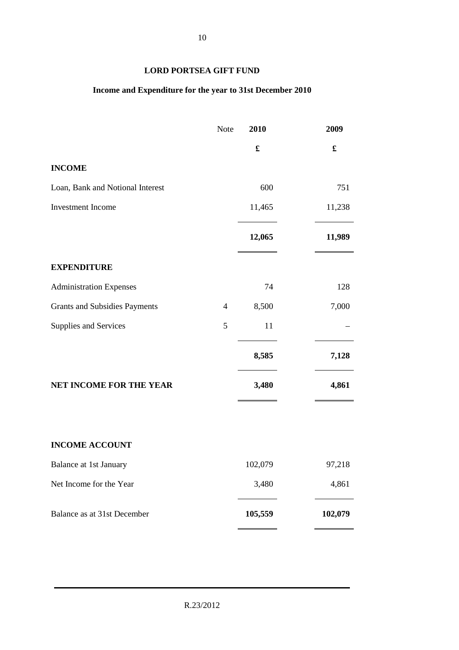## **Income and Expenditure for the year to 31st December 2010**

|                                      | Note           | 2010    | 2009    |
|--------------------------------------|----------------|---------|---------|
|                                      |                |         |         |
| <b>INCOME</b>                        |                |         |         |
| Loan, Bank and Notional Interest     |                | 600     | 751     |
| Investment Income                    |                | 11,465  | 11,238  |
|                                      |                | 12,065  | 11,989  |
| <b>EXPENDITURE</b>                   |                |         |         |
| <b>Administration Expenses</b>       |                | 74      | 128     |
| <b>Grants and Subsidies Payments</b> | $\overline{4}$ | 8,500   | 7,000   |
| Supplies and Services                | 5              | 11      |         |
|                                      |                | 8,585   | 7,128   |
| NET INCOME FOR THE YEAR              |                | 3,480   | 4,861   |
|                                      |                |         |         |
| <b>INCOME ACCOUNT</b>                |                |         |         |
| Balance at 1st January               |                | 102,079 | 97,218  |
| Net Income for the Year              |                | 3,480   | 4,861   |
| Balance as at 31st December          |                | 105,559 | 102,079 |